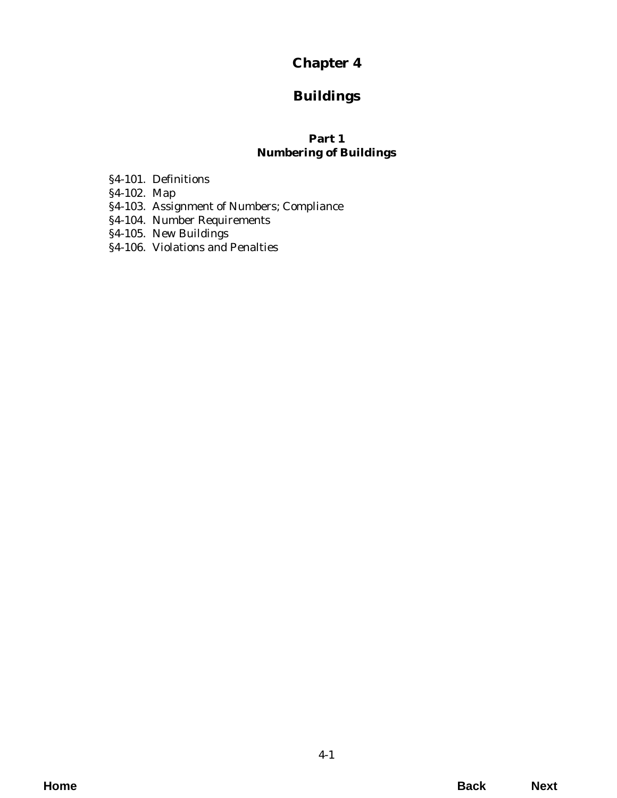# **Chapter 4**

# **Buildings**

# **Part 1 Numbering of Buildings**

- §4-101. Definitions
- §4-102. Map
- [§4-103. Assignment of Numbers; Compliance](#page-2-0)
- §4-104. Number Requirements
- §4-105. New Buildings
- [§4-106. Violations and Penalties](#page-3-0)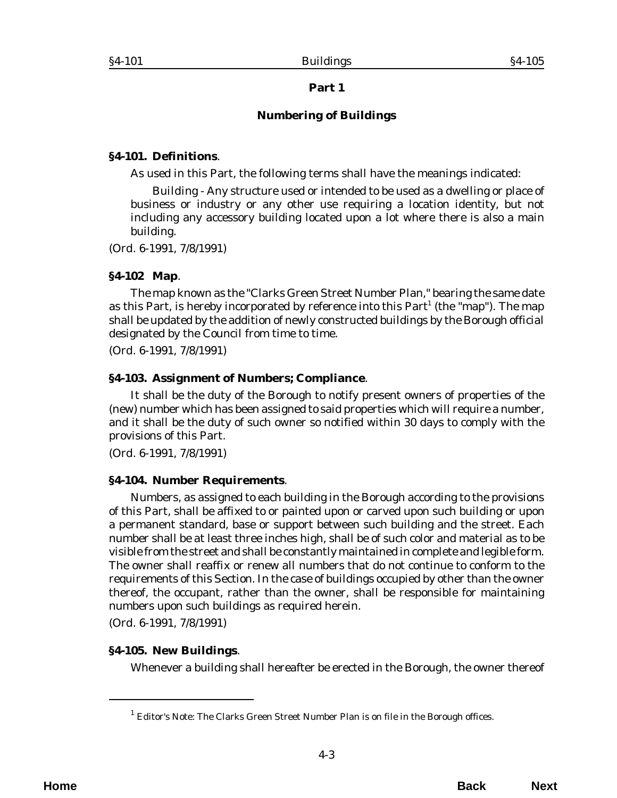# **Part 1**

# **Numbering of Buildings**

#### <span id="page-2-0"></span>**§4-101. Definitions**.

As used in this Part, the following terms shall have the meanings indicated:

*Building* - Any structure used or intended to be used as a dwelling or place of business or industry or any other use requiring a location identity, but not including any accessory building located upon a lot where there is also a main building.

(*Ord. 6-1991*, 7/8/1991)

#### **§4-102 Map**.

The map known as the "Clarks Green Street Number Plan," bearing the same date as this Part, is hereby incorporated by reference into this Part<sup>1</sup> (the "map"). The map shall be updated by the addition of newly constructed buildings by the Borough official designated by the Council from time to time.

(*Ord. 6-1991*, 7/8/1991)

### **§4-103. Assignment of Numbers; Compliance**.

It shall be the duty of the Borough to notify present owners of properties of the (new) number which has been assigned to said properties which will require a number, and it shall be the duty of such owner so notified within 30 days to comply with the provisions of this Part.

(*Ord. 6-1991*, 7/8/1991)

#### **§4-104. Number Requirements**.

Numbers, as assigned to each building in the Borough according to the provisions of this Part, shall be affixed to or painted upon or carved upon such building or upon a permanent standard, base or support between such building and the street. Each number shall be at least three inches high, shall be of such color and material as to be visible from the street and shall be constantly maintained in complete and legible form. The owner shall reaffix or renew all numbers that do not continue to conform to the requirements of this Section. In the case of buildings occupied by other than the owner thereof, the occupant, rather than the owner, shall be responsible for maintaining numbers upon such buildings as required herein.

(*Ord. 6-1991*, 7/8/1991)

# **§4-105. New Buildings**.

Whenever a building shall hereafter be erected in the Borough, the owner thereof

<sup>&</sup>lt;sup>1</sup> Editor's Note: The Clarks Green Street Number Plan is on file in the Borough offices.